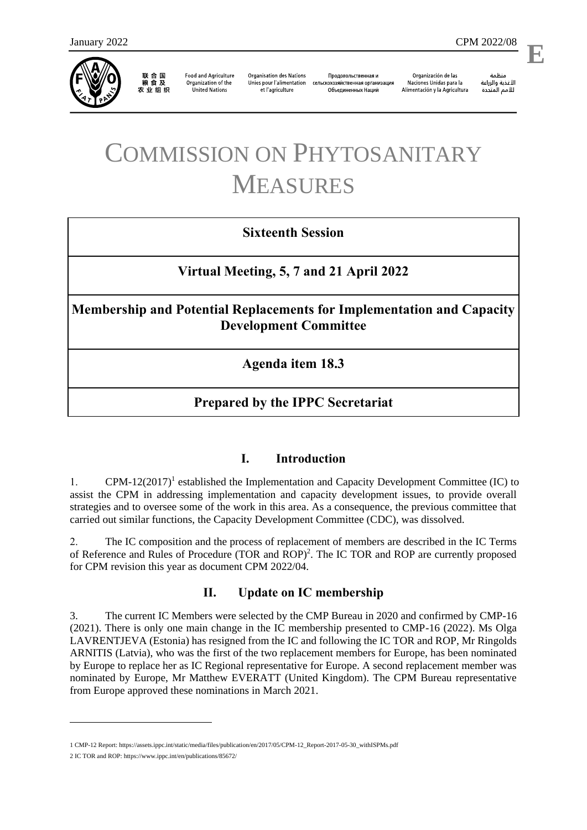

联 合 国<br>粮 食 及 农业组织

**Food and Agriculture** Organization of the **United Nations** 

**Organisation des Nations** Unies pour l'alimentation et l'agriculture

Продовольственная и сельскохозяйственная организация Объелиненных Наций

Organización de las Naciones Unidas para la Alimentación y la Agricultura

منظمة الأغذية والزراعة للأمم المتحدة

# COMMISSION ON PHYTOSANITARY MEASURES

# **Sixteenth Session**

**Virtual Meeting, 5, 7 and 21 April 2022**

**Membership and Potential Replacements for Implementation and Capacity Development Committee**

**Agenda item 18.3**

# **Prepared by the IPPC Secretariat**

#### **I. Introduction**

1. CPM-12(2017)<sup>1</sup> established the Implementation and Capacity Development Committee (IC) to assist the CPM in addressing implementation and capacity development issues, to provide overall strategies and to oversee some of the work in this area. As a consequence, the previous committee that carried out similar functions, the Capacity Development Committee (CDC), was dissolved.

2. The IC composition and the process of replacement of members are described in the IC Terms of Reference and Rules of Procedure (TOR and ROP)<sup>2</sup>. The IC TOR and ROP are currently proposed for CPM revision this year as document CPM 2022/04.

## **II. Update on IC membership**

3. The current IC Members were selected by the CMP Bureau in 2020 and confirmed by CMP-16 (2021). There is only one main change in the IC membership presented to CMP-16 (2022). Ms Olga LAVRENTJEVA (Estonia) has resigned from the IC and following the IC TOR and ROP, Mr Ringolds ARNITIS (Latvia), who was the first of the two replacement members for Europe, has been nominated by Europe to replace her as IC Regional representative for Europe. A second replacement member was nominated by Europe, Mr Matthew EVERATT (United Kingdom). The CPM Bureau representative from Europe approved these nominations in March 2021.

<sup>1</sup> CMP-12 Report[: https://assets.ippc.int/static/media/files/publication/en/2017/05/CPM-12\\_Report-2017-05-30\\_withISPMs.pdf](https://assets.ippc.int/static/media/files/publication/en/2017/05/CPM-12_Report-2017-05-30_withISPMs.pdf)

<sup>2</sup> IC TOR and ROP[: https://www.ippc.int/en/publications/85672/](https://www.ippc.int/en/publications/85672/)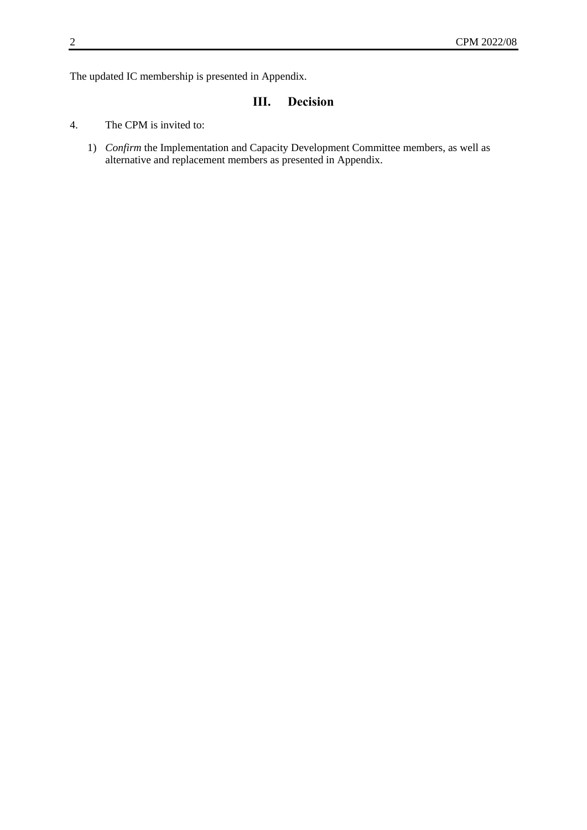The updated IC membership is presented in Appendix.

# **III. Decision**

- 4. The CPM is invited to:
	- 1) *Confirm* the Implementation and Capacity Development Committee members, as well as alternative and replacement members as presented in Appendix.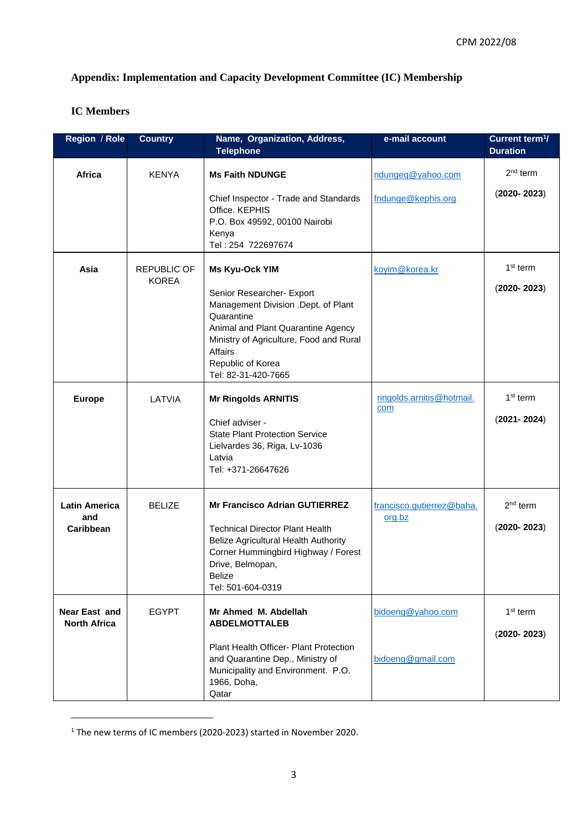## **Appendix: Implementation and Capacity Development Committee (IC) Membership**

### **IC Members**

| Region / Role                            | <b>Country</b>                     | Name, Organization, Address,<br><b>Telephone</b>                                                                                                                                                                                                | e-mail account                          | Current term <sup>1</sup> /<br><b>Duration</b> |
|------------------------------------------|------------------------------------|-------------------------------------------------------------------------------------------------------------------------------------------------------------------------------------------------------------------------------------------------|-----------------------------------------|------------------------------------------------|
| Africa                                   | <b>KENYA</b>                       | <b>Ms Faith NDUNGE</b><br>Chief Inspector - Trade and Standards<br>Office. KEPHIS<br>P.O. Box 49592, 00100 Nairobi<br>Kenya<br>Tel: 254 722697674                                                                                               | ndungeq@yahoo.com<br>fndunge@kephis.org | $2nd$ term<br>$(2020 - 2023)$                  |
| Asia                                     | <b>REPUBLIC OF</b><br><b>KOREA</b> | <b>Ms Kyu-Ock YIM</b><br>Senior Researcher- Export<br>Management Division .Dept. of Plant<br>Quarantine<br>Animal and Plant Quarantine Agency<br>Ministry of Agriculture, Food and Rural<br>Affairs<br>Republic of Korea<br>Tel: 82-31-420-7665 | koyim@korea.kr                          | $1st$ term<br>$(2020 - 2023)$                  |
| <b>Europe</b>                            | LATVIA                             | <b>Mr Ringolds ARNITIS</b><br>Chief adviser -<br><b>State Plant Protection Service</b><br>Lielvardes 36, Riga, Lv-1036<br>Latvia<br>Tel: +371-26647626                                                                                          | ringolds.arnitis@hotmail.<br>com        | $1st$ term<br>$(2021 - 2024)$                  |
| <b>Latin America</b><br>and<br>Caribbean | <b>BELIZE</b>                      | <b>Mr Francisco Adrian GUTIERREZ</b><br><b>Technical Director Plant Health</b><br>Belize Agricultural Health Authority<br>Corner Hummingbird Highway / Forest<br>Drive, Belmopan,<br>Belize<br>Tel: 501-604-0319                                | francisco.gutierrez@baha.<br>org.bz     | $2nd$ term<br>$(2020 - 2023)$                  |
| Near East and<br><b>North Africa</b>     | <b>EGYPT</b>                       | Mr Ahmed M. Abdellah<br><b>ABDELMOTTALEB</b><br>Plant Health Officer- Plant Protection<br>and Quarantine Dep., Ministry of<br>Municipality and Environment. P.O.<br>1966, Doha,<br>Qatar                                                        | bidoeng@yahoo.com<br>bidoeng@gmail.com  | $1st$ term<br>$(2020 - 2023)$                  |

<sup>1</sup> The new terms of IC members (2020-2023) started in November 2020.

1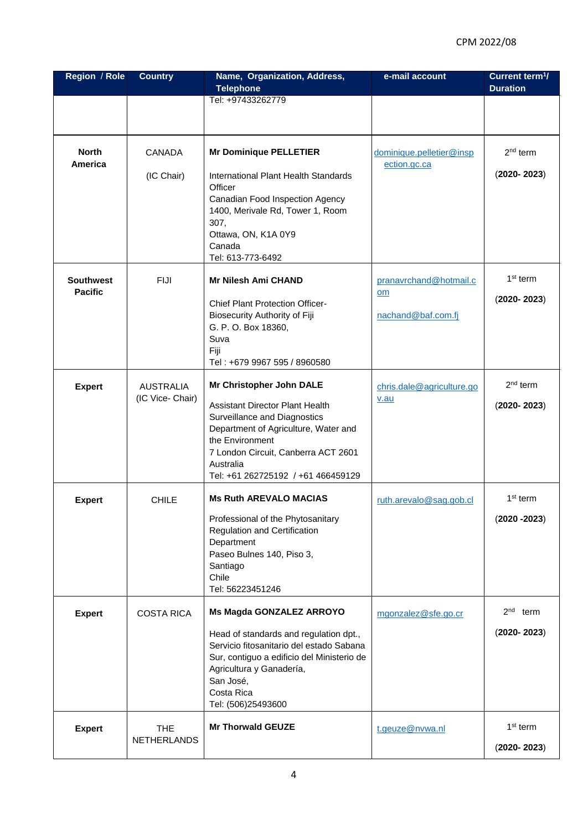| Region / Role                      | <b>Country</b>                       | Name, Organization, Address,                                                                                                                                                                                                                            | e-mail account                                     | Current term <sup>1</sup> /                |
|------------------------------------|--------------------------------------|---------------------------------------------------------------------------------------------------------------------------------------------------------------------------------------------------------------------------------------------------------|----------------------------------------------------|--------------------------------------------|
|                                    |                                      | <b>Telephone</b><br>Tel: +97433262779                                                                                                                                                                                                                   |                                                    | <b>Duration</b>                            |
|                                    |                                      |                                                                                                                                                                                                                                                         |                                                    |                                            |
| <b>North</b><br>America            | <b>CANADA</b>                        | <b>Mr Dominique PELLETIER</b>                                                                                                                                                                                                                           | dominique.pelletier@insp<br>ection.gc.ca           | $2nd$ term                                 |
|                                    | (IC Chair)                           | International Plant Health Standards<br>Officer<br>Canadian Food Inspection Agency<br>1400, Merivale Rd, Tower 1, Room<br>307,<br>Ottawa, ON, K1A 0Y9<br>Canada<br>Tel: 613-773-6492                                                                    |                                                    | $(2020 - 2023)$                            |
| <b>Southwest</b><br><b>Pacific</b> | <b>FIJI</b>                          | <b>Mr Nilesh Ami CHAND</b><br><b>Chief Plant Protection Officer-</b><br><b>Biosecurity Authority of Fiji</b><br>G. P. O. Box 18360,<br>Suva<br>Fiji<br>Tel: +679 9967 595 / 8960580                                                                     | pranavrchand@hotmail.c<br>om<br>nachand@baf.com.fj | $1st$ term<br>$(2020 - 2023)$              |
| <b>Expert</b>                      | <b>AUSTRALIA</b><br>(IC Vice- Chair) | Mr Christopher John DALE<br><b>Assistant Director Plant Health</b><br>Surveillance and Diagnostics<br>Department of Agriculture, Water and<br>the Environment<br>7 London Circuit, Canberra ACT 2601<br>Australia<br>Tel: +61 262725192 / +61 466459129 | chris.dale@agriculture.go<br>v.au                  | $2nd$ term<br>$(2020 - 2023)$              |
| <b>Expert</b>                      | <b>CHILE</b>                         | <b>Ms Ruth AREVALO MACIAS</b><br>Professional of the Phytosanitary<br><b>Regulation and Certification</b><br>Department<br>Paseo Bulnes 140, Piso 3,<br>Santiago<br>Chile<br>Tel: 56223451246                                                           | ruth.arevalo@sag.gob.cl                            | $1st$ term<br>$(2020 - 2023)$              |
| <b>Expert</b>                      | <b>COSTA RICA</b>                    | Ms Magda GONZALEZ ARROYO<br>Head of standards and regulation dpt.,<br>Servicio fitosanitario del estado Sabana<br>Sur, contiguo a edificio del Ministerio de<br>Agricultura y Ganadería,<br>San José,<br>Costa Rica<br>Tel: (506)25493600               | mgonzalez@sfe.go.cr                                | 2 <sub>nd</sub><br>term<br>$(2020 - 2023)$ |
| <b>Expert</b>                      | <b>THE</b><br><b>NETHERLANDS</b>     | <b>Mr Thorwald GEUZE</b>                                                                                                                                                                                                                                | t.geuze@nvwa.nl                                    | $1st$ term<br>$(2020 - 2023)$              |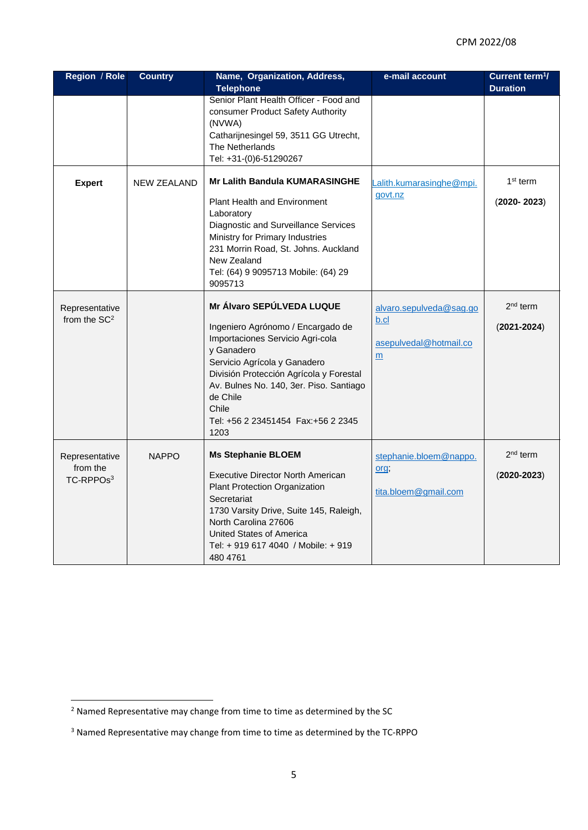| Region / Role                                       | <b>Country</b>     | Name, Organization, Address,<br><b>Telephone</b>                                                                                                                                                                                                                               | e-mail account                                                 | Current term <sup>1</sup> /<br><b>Duration</b> |
|-----------------------------------------------------|--------------------|--------------------------------------------------------------------------------------------------------------------------------------------------------------------------------------------------------------------------------------------------------------------------------|----------------------------------------------------------------|------------------------------------------------|
|                                                     |                    | Senior Plant Health Officer - Food and<br>consumer Product Safety Authority<br>(NVWA)<br>Catharijnesingel 59, 3511 GG Utrecht,<br>The Netherlands<br>Tel: +31-(0)6-51290267                                                                                                    |                                                                |                                                |
| <b>Expert</b>                                       | <b>NEW ZEALAND</b> | <b>Mr Lalith Bandula KUMARASINGHE</b><br><b>Plant Health and Environment</b><br>Laboratory<br>Diagnostic and Surveillance Services<br>Ministry for Primary Industries<br>231 Morrin Road, St. Johns. Auckland<br>New Zealand<br>Tel: (64) 9 9095713 Mobile: (64) 29<br>9095713 | _alith.kumarasinghe@mpi.<br>govt.nz                            | 1 <sup>st</sup> term<br>$(2020 - 2023)$        |
| Representative<br>from the SC <sup>2</sup>          |                    | Mr Álvaro SEPÚLVEDA LUQUE<br>Ingeniero Agrónomo / Encargado de<br>Importaciones Servicio Agri-cola<br>y Ganadero<br>Servicio Agrícola y Ganadero<br>División Protección Agrícola y Forestal<br>Av. Bulnes No. 140, 3er. Piso. Santiago<br>de Chile<br>Chile<br>1203            | alvaro.sepulveda@sag.go<br>b.cl<br>asepulvedal@hotmail.co<br>m | 2 <sup>nd</sup> term<br>$(2021 - 2024)$        |
| Representative<br>from the<br>TC-RPPOs <sup>3</sup> | <b>NAPPO</b>       | <b>Ms Stephanie BLOEM</b><br><b>Executive Director North American</b><br>Plant Protection Organization<br>Secretariat<br>1730 Varsity Drive, Suite 145, Raleigh,<br>North Carolina 27606<br>United States of America<br>Tel: + 919 617 4040 / Mobile: + 919<br>480 4761        | stephanie.bloem@nappo.<br>org;<br>tita.bloem@gmail.com         | $2nd$ term<br>$(2020 - 2023)$                  |

**<sup>.</sup>**  $<sup>2</sup>$  Named Representative may change from time to time as determined by the SC</sup>

<sup>3</sup> Named Representative may change from time to time as determined by the TC-RPPO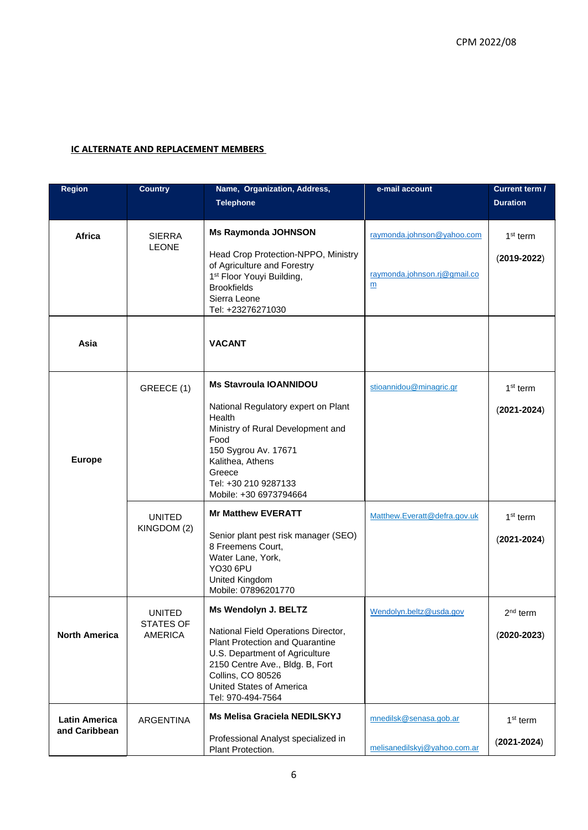#### **IC ALTERNATE AND REPLACEMENT MEMBERS**

| Region                                | <b>Country</b>                               | Name, Organization, Address,                                                                                                                                                                                                              | e-mail account                                                  | Current term /                          |
|---------------------------------------|----------------------------------------------|-------------------------------------------------------------------------------------------------------------------------------------------------------------------------------------------------------------------------------------------|-----------------------------------------------------------------|-----------------------------------------|
|                                       |                                              | <b>Telephone</b>                                                                                                                                                                                                                          |                                                                 | <b>Duration</b>                         |
| <b>Africa</b>                         | <b>SIERRA</b><br><b>LEONE</b>                | <b>Ms Raymonda JOHNSON</b><br>Head Crop Protection-NPPO, Ministry<br>of Agriculture and Forestry<br>1 <sup>st</sup> Floor Youyi Building,<br><b>Brookfields</b><br>Sierra Leone<br>Tel: +23276271030                                      | raymonda.johnson@yahoo.com<br>raymonda.johnson.rj@gmail.co<br>m | 1 <sup>st</sup> term<br>$(2019 - 2022)$ |
| Asia                                  |                                              | <b>VACANT</b>                                                                                                                                                                                                                             |                                                                 |                                         |
| <b>Europe</b>                         | GREECE (1)                                   | <b>Ms Stavroula IOANNIDOU</b><br>National Regulatory expert on Plant<br>Health<br>Ministry of Rural Development and<br>Food<br>150 Sygrou Av. 17671<br>Kalithea, Athens<br>Greece<br>Tel: +30 210 9287133<br>Mobile: +30 6973794664       | stioannidou@minagric.gr                                         | $1st$ term<br>$(2021 - 2024)$           |
|                                       | <b>UNITED</b><br>KINGDOM (2)                 | <b>Mr Matthew EVERATT</b><br>Senior plant pest risk manager (SEO)<br>8 Freemens Court,<br>Water Lane, York,<br><b>YO30 6PU</b><br>United Kingdom<br>Mobile: 07896201770                                                                   | Matthew.Everatt@defra.gov.uk                                    | $1st$ term<br>$(2021 - 2024)$           |
| <b>North America</b>                  | UNITED<br><b>STATES OF</b><br><b>AMERICA</b> | Ms Wendolyn J. BELTZ<br>National Field Operations Director,<br>Plant Protection and Quarantine<br>U.S. Department of Agriculture<br>2150 Centre Ave., Bldg. B, Fort<br>Collins, CO 80526<br>United States of America<br>Tel: 970-494-7564 | Wendolyn.beltz@usda.gov                                         | $2nd$ term<br>$(2020 - 2023)$           |
| <b>Latin America</b><br>and Caribbean | <b>ARGENTINA</b>                             | Ms Melisa Graciela NEDILSKYJ<br>Professional Analyst specialized in<br>Plant Protection.                                                                                                                                                  | mnedilsk@senasa.gob.ar<br>melisanedilskyj@yahoo.com.ar          | $1st$ term<br>$(2021 - 2024)$           |